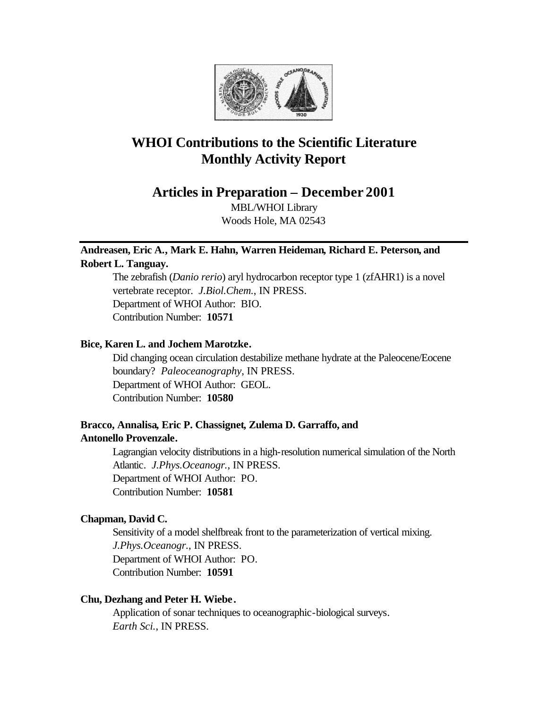

# **WHOI Contributions to the Scientific Literature Monthly Activity Report**

**Articles in Preparation – December 2001**

MBL/WHOI Library Woods Hole, MA 02543

# **Andreasen, Eric A., Mark E. Hahn, Warren Heideman, Richard E. Peterson, and Robert L. Tanguay.**

The zebrafish (*Danio rerio*) aryl hydrocarbon receptor type 1 (zfAHR1) is a novel vertebrate receptor. *J.Biol.Chem.*, IN PRESS. Department of WHOI Author: BIO. Contribution Number: **10571**

## **Bice, Karen L. and Jochem Marotzke.**

Did changing ocean circulation destabilize methane hydrate at the Paleocene/Eocene boundary? *Paleoceanography*, IN PRESS. Department of WHOI Author: GEOL. Contribution Number: **10580**

# **Bracco, Annalisa, Eric P. Chassignet, Zulema D. Garraffo, and Antonello Provenzale.**

Lagrangian velocity distributions in a high-resolution numerical simulation of the North Atlantic. *J.Phys.Oceanogr.*, IN PRESS. Department of WHOI Author: PO. Contribution Number: **10581**

## **Chapman, David C.**

Sensitivity of a model shelfbreak front to the parameterization of vertical mixing. *J.Phys.Oceanogr.*, IN PRESS. Department of WHOI Author: PO. Contribution Number: **10591**

## **Chu, Dezhang and Peter H. Wiebe.**

Application of sonar techniques to oceanographic-biological surveys. *Earth Sci.*, IN PRESS.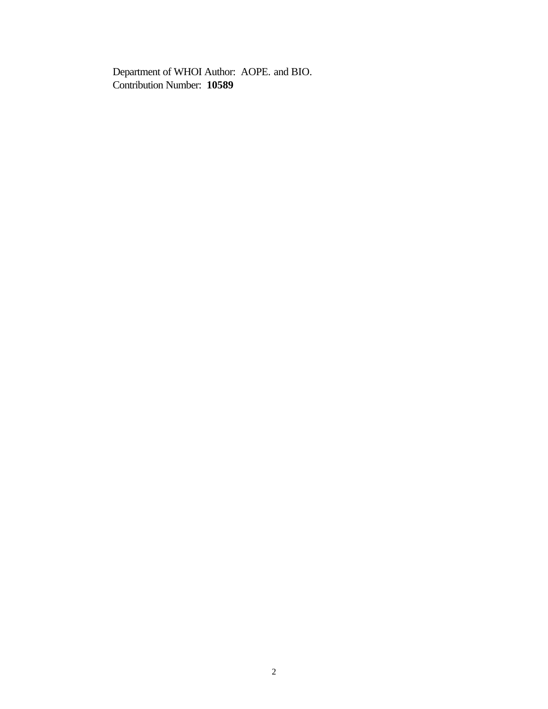Department of WHOI Author: AOPE. and BIO. Contribution Number: **10589**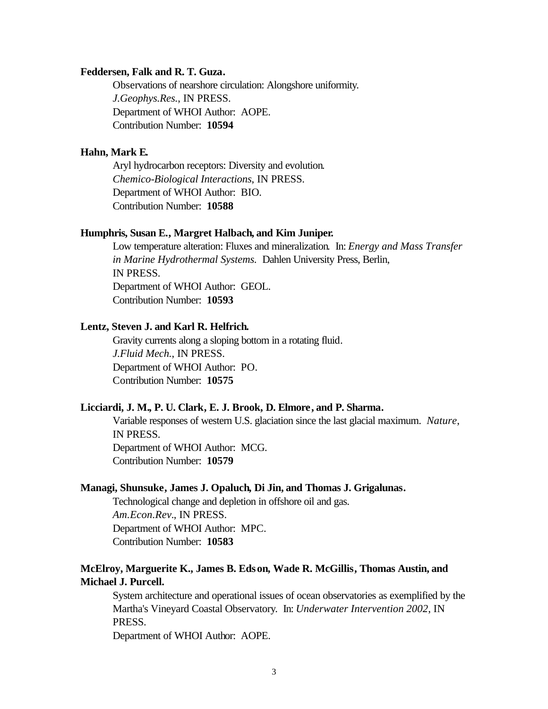#### **Feddersen, Falk and R. T. Guza.**

Observations of nearshore circulation: Alongshore uniformity. *J.Geophys.Res.*, IN PRESS. Department of WHOI Author: AOPE. Contribution Number: **10594**

#### **Hahn, Mark E.**

Aryl hydrocarbon receptors: Diversity and evolution. *Chemico-Biological Interactions*, IN PRESS. Department of WHOI Author: BIO. Contribution Number: **10588**

#### **Humphris, Susan E., Margret Halbach, and Kim Juniper.**

Low temperature alteration: Fluxes and mineralization. In: *Energy and Mass Transfer in Marine Hydrothermal Systems.* Dahlen University Press, Berlin, IN PRESS. Department of WHOI Author: GEOL. Contribution Number: **10593**

#### **Lentz, Steven J. and Karl R. Helfrich.**

Gravity currents along a sloping bottom in a rotating fluid. *J.Fluid Mech.*, IN PRESS. Department of WHOI Author: PO. Contribution Number: **10575**

#### **Licciardi, J. M., P. U. Clark, E. J. Brook, D. Elmore, and P. Sharma.**

Variable responses of western U.S. glaciation since the last glacial maximum. *Nature*, IN PRESS. Department of WHOI Author: MCG. Contribution Number: **10579**

#### **Managi, Shunsuke, James J. Opaluch, Di Jin, and Thomas J. Grigalunas.**

Technological change and depletion in offshore oil and gas. *Am.Econ.Rev.*, IN PRESS. Department of WHOI Author: MPC. Contribution Number: **10583**

### **McElroy, Marguerite K., James B. Edson, Wade R. McGillis, Thomas Austin, and Michael J. Purcell.**

System architecture and operational issues of ocean observatories as exemplified by the Martha's Vineyard Coastal Observatory. In: *Underwater Intervention 2002*, IN PRESS.

Department of WHOI Author: AOPE.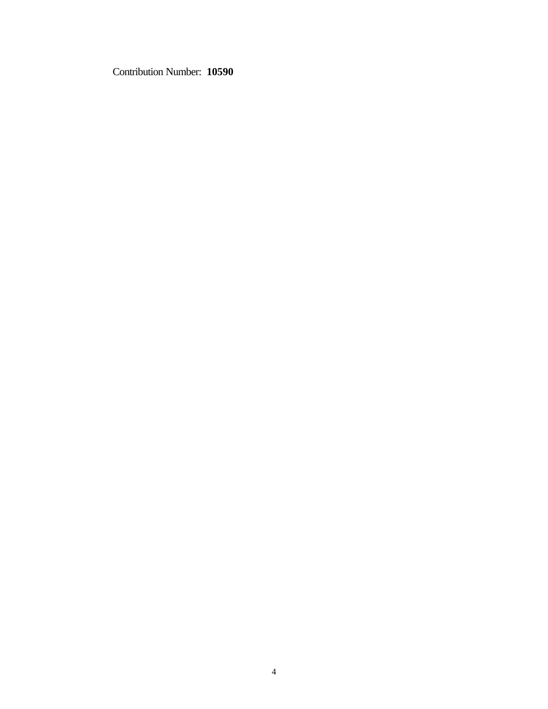Contribution Number: **10590**